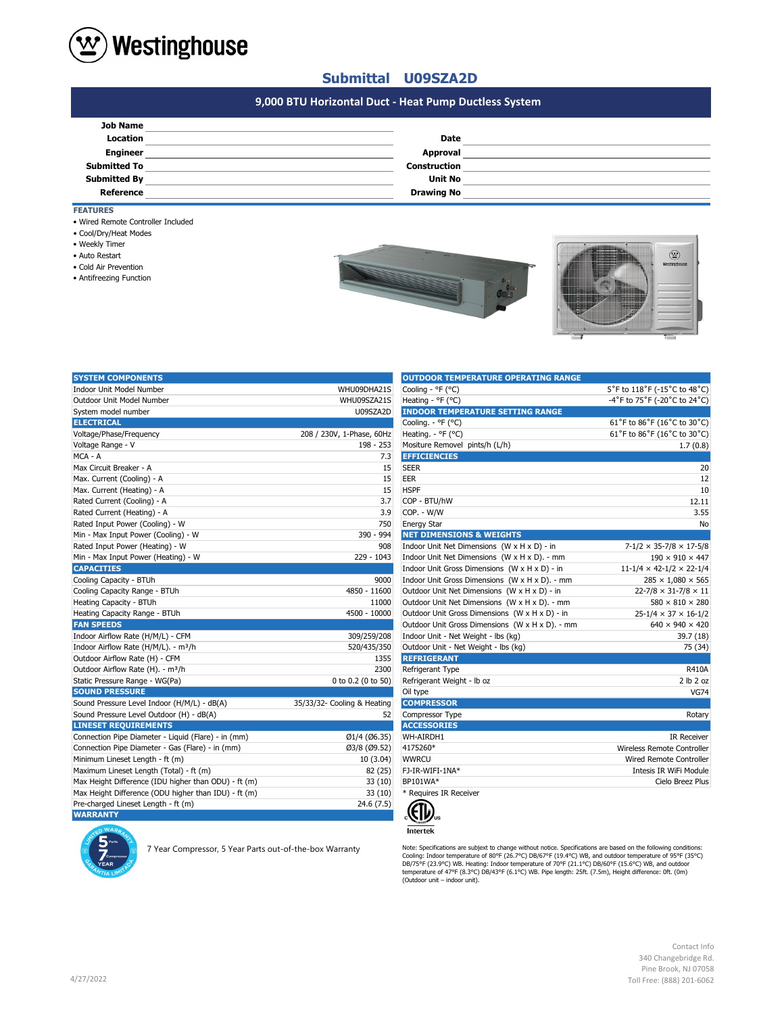

## **Submittal U09SZA2D**

# **#N/A 9,000 BTU Horizontal Duct - Heat Pump Ductless System**

| <b>Job Name</b>     |                     |  |
|---------------------|---------------------|--|
| Location            | <b>Date</b>         |  |
| <b>Engineer</b>     | <b>Approval</b>     |  |
| <b>Submitted To</b> | <b>Construction</b> |  |
| <b>Submitted By</b> | <b>Unit No</b>      |  |
| Reference           | <b>Drawing No</b>   |  |

### **FEATURES**

- Wired Remote Controller Included
- Cool/Dry/Heat Modes
- Weekly Timer
- Auto Restart
- Cold Air Prevention
- Antifreezing Function





| <b>SYSTEM COMPONENTS</b>                             |                             | <b>OUTDOOR TEMPERATURE OPERATING RANGE</b>      |                                            |
|------------------------------------------------------|-----------------------------|-------------------------------------------------|--------------------------------------------|
| <b>Indoor Unit Model Number</b>                      | WHU09DHA21S                 | Cooling - °F (°C)                               | 5°F to 118°F (-15°C to 48°C)               |
| Outdoor Unit Model Number                            | WHU09SZA21S                 | Heating - °F (°C)                               | -4°F to 75°F (-20°C to 24°C)               |
| System model number                                  | U09SZA2D                    | <b>INDOOR TEMPERATURE SETTING RANGE</b>         |                                            |
| <b>ELECTRICAL</b>                                    |                             | Cooling. - °F (°C)                              | 61°F to 86°F (16°C to 30°C)                |
| Voltage/Phase/Frequency                              | 208 / 230V, 1-Phase, 60Hz   | Heating. - °F (°C)                              | 61°F to 86°F (16°C to 30°C)                |
| Voltage Range - V                                    | 198 - 253                   | Mositure Removel pints/h (L/h)                  | 1.7(0.8)                                   |
| MCA - A                                              | 7.3                         | <b>EFFICIENCIES</b>                             |                                            |
| Max Circuit Breaker - A                              | 15                          | <b>SEER</b>                                     | 20                                         |
| Max. Current (Cooling) - A                           | 15                          | <b>EER</b>                                      | 12                                         |
| Max. Current (Heating) - A                           | 15                          | <b>HSPF</b>                                     | 10                                         |
| Rated Current (Cooling) - A                          | 3.7                         | COP - BTU/hW                                    | 12.11                                      |
| Rated Current (Heating) - A                          | 3.9                         | COP. - W/W                                      | 3.55                                       |
| Rated Input Power (Cooling) - W                      | 750                         | <b>Energy Star</b>                              | No                                         |
| Min - Max Input Power (Cooling) - W                  | 390 - 994                   | <b>NET DIMENSIONS &amp; WEIGHTS</b>             |                                            |
| Rated Input Power (Heating) - W                      | 908                         | Indoor Unit Net Dimensions (W x H x D) - in     | $7 - 1/2 \times 35 - 7/8 \times 17 - 5/8$  |
| Min - Max Input Power (Heating) - W                  | 229 - 1043                  | Indoor Unit Net Dimensions (W x H x D). - mm    | $190 \times 910 \times 447$                |
| <b>CAPACITIES</b>                                    |                             | Indoor Unit Gross Dimensions (W x H x D) - in   | $11 - 1/4 \times 42 - 1/2 \times 22 - 1/4$ |
| Cooling Capacity - BTUh                              | 9000                        | Indoor Unit Gross Dimensions (W x H x D). - mm  | $285 \times 1,080 \times 565$              |
| Cooling Capacity Range - BTUh                        | 4850 - 11600                | Outdoor Unit Net Dimensions (W x H x D) - in    | $22 - 7/8 \times 31 - 7/8 \times 11$       |
| Heating Capacity - BTUh                              | 11000                       | Outdoor Unit Net Dimensions (W x H x D). - mm   | $580 \times 810 \times 280$                |
| Heating Capacity Range - BTUh                        | 4500 - 10000                | Outdoor Unit Gross Dimensions (W x H x D) - in  | $25 - 1/4 \times 37 \times 16 - 1/2$       |
| <b>FAN SPEEDS</b>                                    |                             | Outdoor Unit Gross Dimensions (W x H x D). - mm | $640 \times 940 \times 420$                |
| Indoor Airflow Rate (H/M/L) - CFM                    | 309/259/208                 | Indoor Unit - Net Weight - lbs (kg)             | 39.7 (18)                                  |
| Indoor Airflow Rate (H/M/L). - m <sup>3</sup> /h     | 520/435/350                 | Outdoor Unit - Net Weight - Ibs (kg)            | 75 (34)                                    |
| Outdoor Airflow Rate (H) - CFM                       | 1355                        | <b>REFRIGERANT</b>                              |                                            |
| Outdoor Airflow Rate (H). - m <sup>3</sup> /h        | 2300                        | Refrigerant Type                                | <b>R410A</b>                               |
| Static Pressure Range - WG(Pa)                       | 0 to 0.2 (0 to 50)          | Refrigerant Weight - Ib oz                      | 2 lb 2 oz                                  |
| <b>SOUND PRESSURE</b>                                |                             | Oil type                                        | <b>VG74</b>                                |
| Sound Pressure Level Indoor (H/M/L) - dB(A)          | 35/33/32- Cooling & Heating | <b>COMPRESSOR</b>                               |                                            |
| Sound Pressure Level Outdoor (H) - dB(A)             | 52                          | Compressor Type                                 | Rotary                                     |
| <b>LINESET REQUIREMENTS</b>                          |                             | <b>ACCESSORIES</b>                              |                                            |
| Connection Pipe Diameter - Liquid (Flare) - in (mm)  | Ø1/4 (Ø6.35)                | WH-AIRDH1                                       | <b>IR Receiver</b>                         |
| Connection Pipe Diameter - Gas (Flare) - in (mm)     | Ø3/8 (Ø9.52)                | 4175260*                                        | Wireless Remote Controller                 |
| Minimum Lineset Length - ft (m)                      | 10(3.04)                    | <b>WWRCU</b>                                    | <b>Wired Remote Controller</b>             |
| Maximum Lineset Length (Total) - ft (m)              | 82 (25)                     | FJ-IR-WIFI-1NA*                                 | Intesis IR WiFi Module                     |
| Max Height Difference (IDU higher than ODU) - ft (m) | 33(10)                      | BP101WA*                                        | Cielo Breez Plus                           |
| Max Height Difference (ODU higher than IDU) - ft (m) | 33(10)                      | * Requires IR Receiver                          |                                            |
| Pre-charged Lineset Length - ft (m)                  | 24.6 (7.5)                  |                                                 |                                            |
| <b>WARRANTY</b>                                      |                             | $\mathcal{L}(\mathbf{D})$                       |                                            |
|                                                      |                             |                                                 |                                            |

7 Year Compressor, 5 Year Parts out-of-the-box Warranty

| <b>UUTDUUK TEMPERATUKE UPERATING KANGE</b>      |                                      |
|-------------------------------------------------|--------------------------------------|
| Cooling - °F (°C)                               | 5°F to 118°F (-15°C to 48°C)         |
| Heating - °F (°C)                               | -4°F to 75°F (-20°C to 24°C)         |
| <b>INDOOR TEMPERATURE SETTING RANGE</b>         |                                      |
| Cooling. - °F (°C)                              | 61°F to 86°F (16°C to 30°C)          |
| Heating. - °F (°C)                              | 61°F to 86°F (16°C to 30°C)          |
| Mositure Removel pints/h (L/h)                  | 1.7(0.8)                             |
| <b>EFFICIENCIES</b>                             |                                      |
| SEER                                            | 20                                   |
| EER                                             | 12                                   |
| <b>HSPF</b>                                     | 10                                   |
| COP - BTU/hW                                    | 12.11                                |
| COP. - W/W                                      | 3.55                                 |
| <b>Energy Star</b>                              | No                                   |
| <b>NET DIMENSIONS &amp; WEIGHTS</b>             |                                      |
| Indoor Unit Net Dimensions (W x H x D) - in     | $7-1/2 \times 35-7/8 \times 17-5/8$  |
| Indoor Unit Net Dimensions (W x H x D). - mm    | $190 \times 910 \times 447$          |
| Indoor Unit Gross Dimensions (W x H x D) - in   | $11-1/4 \times 42-1/2 \times 22-1/4$ |
| Indoor Unit Gross Dimensions (W x H x D). - mm  | $285 \times 1,080 \times 565$        |
| Outdoor Unit Net Dimensions (W x H x D) - in    | $22 - 7/8 \times 31 - 7/8 \times 11$ |
| Outdoor Unit Net Dimensions (W x H x D). - mm   | $580 \times 810 \times 280$          |
| Outdoor Unit Gross Dimensions (W x H x D) - in  | $25-1/4 \times 37 \times 16-1/2$     |
| Outdoor Unit Gross Dimensions (W x H x D). - mm | $640 \times 940 \times 420$          |
| Indoor Unit - Net Weight - lbs (kg)             | 39.7 (18)                            |
| Outdoor Unit - Net Weight - Ibs (kg)            | 75 (34)                              |
| <b>REFRIGERANT</b>                              |                                      |
| Refrigerant Type                                | <b>R410A</b>                         |
| Refrigerant Weight - Ib oz                      | 2 lb 2 oz                            |
| Oil type                                        | <b>VG74</b>                          |
| <b>COMPRESSOR</b>                               |                                      |
| Compressor Type                                 | Rotary                               |
| <b>ACCESSORIES</b>                              |                                      |
| WH-AIRDH1                                       | <b>IR Receiver</b>                   |
| 4175260*                                        | Wireless Remote Controller           |
| <b>WWRCU</b>                                    | <b>Wired Remote Controller</b>       |
| FJ-IR-WIFI-1NA*                                 | Intesis IR WiFi Module               |
| BP101WA*                                        | Cielo Breez Plus                     |
| * Requires IR Receiver                          |                                      |

(Ell  $\overline{\text{Intertek}}$ 

Note: Specifications are subjext to change without notice. Specifications are based on the following conditions:<br>Cooling: Indoor temperature of 80°F (26.7°C) DB/67°F (19.4°C) WB, and outdoor temperature of 95°F (35°C)<br>DB/7

Contact Info 340 Changebridge Rd. Pine Brook, NJ 07058 Toll Free: (888) 201-6062